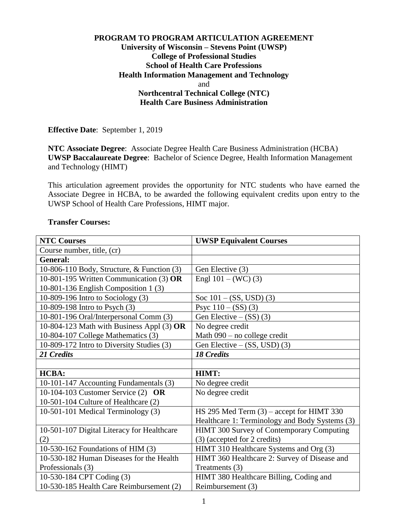## **PROGRAM TO PROGRAM ARTICULATION AGREEMENT University of Wisconsin – Stevens Point (UWSP) College of Professional Studies School of Health Care Professions Health Information Management and Technology**  and **Northcentral Technical College (NTC) Health Care Business Administration**

**Effective Date**: September 1, 2019

**NTC Associate Degree**: Associate Degree Health Care Business Administration (HCBA) **UWSP Baccalaureate Degree**: Bachelor of Science Degree, Health Information Management and Technology (HIMT)

This articulation agreement provides the opportunity for NTC students who have earned the Associate Degree in HCBA, to be awarded the following equivalent credits upon entry to the UWSP School of Health Care Professions, HIMT major.

| <b>NTC Courses</b>                         | <b>UWSP Equivalent Courses</b>                 |
|--------------------------------------------|------------------------------------------------|
| Course number, title, (cr)                 |                                                |
| <b>General:</b>                            |                                                |
| 10-806-110 Body, Structure, & Function (3) | Gen Elective (3)                               |
| 10-801-195 Written Communication (3) OR    | Engl $101 - (WC)$ (3)                          |
| 10-801-136 English Composition 1 (3)       |                                                |
| 10-809-196 Intro to Sociology (3)          | Soc $101 - (SS, USD)$ (3)                      |
| 10-809-198 Intro to Psych (3)              | Psyc $110 - (SS)(3)$                           |
| 10-801-196 Oral/Interpersonal Comm (3)     | Gen Elective $-$ (SS) (3)                      |
| 10-804-123 Math with Business Appl (3) OR  | No degree credit                               |
| 10-804-107 College Mathematics (3)         | Math 090 - no college credit                   |
| 10-809-172 Intro to Diversity Studies (3)  | Gen Elective $-$ (SS, USD) (3)                 |
| 21 Credits                                 | <b>18 Credits</b>                              |
|                                            |                                                |
| <b>HCBA:</b>                               | HIMT:                                          |
| 10-101-147 Accounting Fundamentals (3)     | No degree credit                               |
| 10-104-103 Customer Service (2) OR         | No degree credit                               |
| 10-501-104 Culture of Healthcare (2)       |                                                |
| 10-501-101 Medical Terminology (3)         | HS 295 Med Term $(3)$ – accept for HIMT 330    |
|                                            | Healthcare 1: Terminology and Body Systems (3) |
| 10-501-107 Digital Literacy for Healthcare | HIMT 300 Survey of Contemporary Computing      |
| (2)                                        | (3) (accepted for 2 credits)                   |
| 10-530-162 Foundations of HIM (3)          | HIMT 310 Healthcare Systems and Org (3)        |
| 10-530-182 Human Diseases for the Health   | HIMT 360 Healthcare 2: Survey of Disease and   |
| Professionals (3)                          | Treatments (3)                                 |
| 10-530-184 CPT Coding (3)                  | HIMT 380 Healthcare Billing, Coding and        |
| 10-530-185 Health Care Reimbursement (2)   | Reimbursement (3)                              |

### **Transfer Courses:**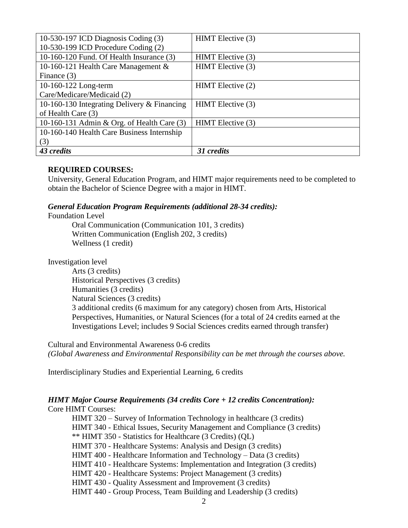| 10-530-197 ICD Diagnosis Coding (3)         | HIMT Elective (3) |
|---------------------------------------------|-------------------|
| 10-530-199 ICD Procedure Coding (2)         |                   |
| 10-160-120 Fund. Of Health Insurance (3)    | HIMT Elective (3) |
| 10-160-121 Health Care Management &         | HIMT Elective (3) |
| Finance (3)                                 |                   |
| 10-160-122 Long-term                        | HIMT Elective (2) |
| Care/Medicare/Medicaid (2)                  |                   |
| 10-160-130 Integrating Delivery & Financing | HIMT Elective (3) |
| of Health Care (3)                          |                   |
| 10-160-131 Admin & Org. of Health Care (3)  | HIMT Elective (3) |
| 10-160-140 Health Care Business Internship  |                   |
| (3)                                         |                   |
| 43 credits                                  | 31 credits        |

### **REQUIRED COURSES:**

University, General Education Program, and HIMT major requirements need to be completed to obtain the Bachelor of Science Degree with a major in HIMT.

## *General Education Program Requirements (additional 28-34 credits):*

Foundation Level

Oral Communication (Communication 101, 3 credits) Written Communication (English 202, 3 credits) Wellness (1 credit)

Investigation level

Arts (3 credits) Historical Perspectives (3 credits) Humanities (3 credits) Natural Sciences (3 credits) 3 additional credits (6 maximum for any category) chosen from Arts, Historical Perspectives, Humanities, or Natural Sciences (for a total of 24 credits earned at the Investigations Level; includes 9 Social Sciences credits earned through transfer)

Cultural and Environmental Awareness 0-6 credits *(Global Awareness and Environmental Responsibility can be met through the courses above.*

Interdisciplinary Studies and Experiential Learning, 6 credits

#### *HIMT Major Course Requirements (34 credits Core + 12 credits Concentration):*  Core HIMT Courses:

HIMT 320 – Survey of Information Technology in healthcare (3 credits) HIMT 340 - Ethical Issues, Security Management and Compliance (3 credits) \*\* HIMT 350 - Statistics for Healthcare (3 Credits) (QL) HIMT 370 - Healthcare Systems: Analysis and Design (3 credits) HIMT 400 - Healthcare Information and Technology – Data (3 credits) HIMT 410 - Healthcare Systems: Implementation and Integration (3 credits) HIMT 420 - Healthcare Systems: Project Management (3 credits) HIMT 430 - Quality Assessment and Improvement (3 credits) HIMT 440 - Group Process, Team Building and Leadership (3 credits)